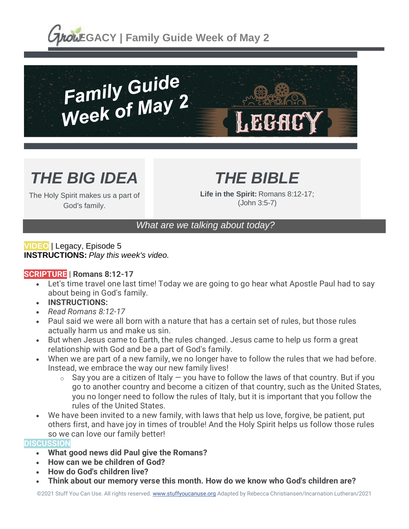**LOWEGACY | Family Guide Week of May 2** 



# *THE BIG IDEA*

The Holy Spirit makes us a part of God's family.

## *THE BIBLE*

**Life in the Spirit:** Romans 8:12-17; (John 3:5-7)

### *What are we talking about today?*

**VIDEO** | Legacy, Episode 5 **INSTRUCTIONS:** *Play this week's video.*

#### **SCRIPTURE | Romans 8:12-17**

- Let's time travel one last time! Today we are going to go hear what Apostle Paul had to say about being in God's family.
- **INSTRUCTIONS:**
- *Read Romans 8:12-17*
- Paul said we were all born with a nature that has a certain set of rules, but those rules actually harm us and make us sin.
- But when Jesus came to Earth, the rules changed. Jesus came to help us form a great relationship with God and be a part of God's family.
- When we are part of a new family, we no longer have to follow the rules that we had before. Instead, we embrace the way our new family lives!
	- $\circ$  Say you are a citizen of Italy  $-$  you have to follow the laws of that country. But if you go to another country and become a citizen of that country, such as the United States, you no longer need to follow the rules of Italy, but it is important that you follow the rules of the United States.
- We have been invited to a new family, with laws that help us love, forgive, be patient, put others first, and have joy in times of trouble! And the Holy Spirit helps us follow those rules so we can love our family better!

#### **DISCUSSION**

- **What good news did Paul give the Romans?**
- **How can we be children of God?**
- **How do God's children live?**
- **Think about our memory verse this month. How do we know who God's children are?**